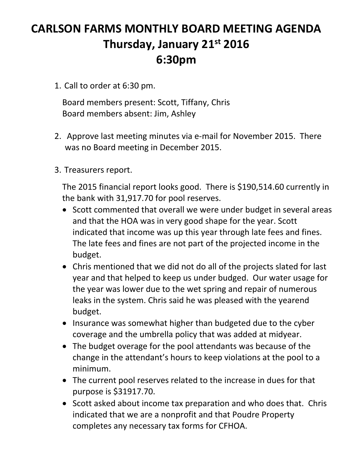# **CARLSON FARMS MONTHLY BOARD MEETING AGENDA Thursday, January 21st 2016 6:30pm**

1. Call to order at 6:30 pm.

Board members present: Scott, Tiffany, Chris Board members absent: Jim, Ashley

- 2. Approve last meeting minutes via e‐mail for November 2015. There was no Board meeting in December 2015.
- 3. Treasurers report.

The 2015 financial report looks good. There is \$190,514.60 currently in the bank with 31,917.70 for pool reserves.

- Scott commented that overall we were under budget in several areas and that the HOA was in very good shape for the year. Scott indicated that income was up this year through late fees and fines. The late fees and fines are not part of the projected income in the budget.
- Chris mentioned that we did not do all of the projects slated for last year and that helped to keep us under budged. Our water usage for the year was lower due to the wet spring and repair of numerous leaks in the system. Chris said he was pleased with the yearend budget.
- Insurance was somewhat higher than budgeted due to the cyber coverage and the umbrella policy that was added at midyear.
- The budget overage for the pool attendants was because of the change in the attendant's hours to keep violations at the pool to a minimum.
- The current pool reserves related to the increase in dues for that purpose is \$31917.70.
- Scott asked about income tax preparation and who does that. Chris indicated that we are a nonprofit and that Poudre Property completes any necessary tax forms for CFHOA.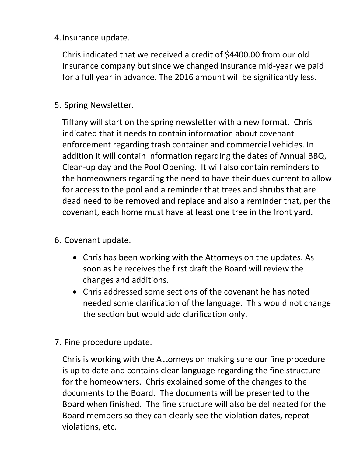4.Insurance update.

Chris indicated that we received a credit of \$4400.00 from our old insurance company but since we changed insurance mid‐year we paid for a full year in advance. The 2016 amount will be significantly less.

5. Spring Newsletter.

Tiffany will start on the spring newsletter with a new format. Chris indicated that it needs to contain information about covenant enforcement regarding trash container and commercial vehicles. In addition it will contain information regarding the dates of Annual BBQ, Clean‐up day and the Pool Opening. It will also contain reminders to the homeowners regarding the need to have their dues current to allow for access to the pool and a reminder that trees and shrubs that are dead need to be removed and replace and also a reminder that, per the covenant, each home must have at least one tree in the front yard.

- 6. Covenant update.
	- Chris has been working with the Attorneys on the updates. As soon as he receives the first draft the Board will review the changes and additions.
	- Chris addressed some sections of the covenant he has noted needed some clarification of the language. This would not change the section but would add clarification only.
- 7. Fine procedure update.

Chris is working with the Attorneys on making sure our fine procedure is up to date and contains clear language regarding the fine structure for the homeowners. Chris explained some of the changes to the documents to the Board. The documents will be presented to the Board when finished. The fine structure will also be delineated for the Board members so they can clearly see the violation dates, repeat violations, etc.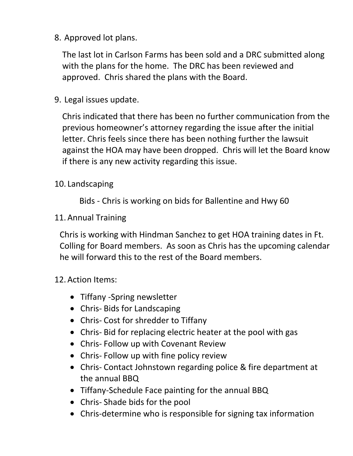8. Approved lot plans.

The last lot in Carlson Farms has been sold and a DRC submitted along with the plans for the home. The DRC has been reviewed and approved. Chris shared the plans with the Board.

9. Legal issues update.

Chris indicated that there has been no further communication from the previous homeowner's attorney regarding the issue after the initial letter. Chris feels since there has been nothing further the lawsuit against the HOA may have been dropped. Chris will let the Board know if there is any new activity regarding this issue.

## 10. Landscaping

Bids ‐ Chris is working on bids for Ballentine and Hwy 60

## 11.Annual Training

Chris is working with Hindman Sanchez to get HOA training dates in Ft. Colling for Board members. As soon as Chris has the upcoming calendar he will forward this to the rest of the Board members.

## 12.Action Items:

- Tiffany -Spring newsletter
- Chris-Bids for Landscaping
- Chris- Cost for shredder to Tiffany
- Chris‐ Bid for replacing electric heater at the pool with gas
- Chris-Follow up with Covenant Review
- Chris-Follow up with fine policy review
- Chris‐ Contact Johnstown regarding police & fire department at the annual BBQ
- Tiffany-Schedule Face painting for the annual BBQ
- Chris-Shade bids for the pool
- Chris-determine who is responsible for signing tax information